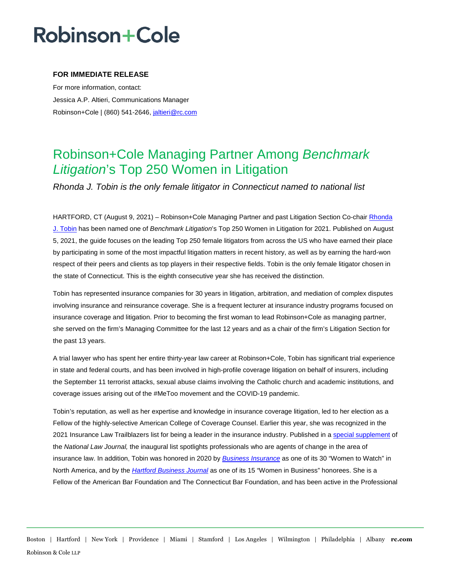## Robinson+Cole

### **FOR IMMEDIATE RELEASE**

For more information, contact: Jessica A.P. Altieri, Communications Manager Robinson+Cole | (860) 541-2646[, jaltieri@rc.com](mailto:jaltieri@rc.com)

### Robinson+Cole Managing Partner Among *Benchmark Litigation*'s Top 250 Women in Litigation

*Rhonda J. Tobin is the only female litigator in Connecticut named to national list* 

HARTFORD, CT (August 9, 2021) – Robinson+Cole Managing Partner and past Litigation Section Co-chair [Rhonda](http://www.rc.com/people/RhondaJTobin.cfm)  [J. Tobin](http://www.rc.com/people/RhondaJTobin.cfm) has been named one of *Benchmark Litigation*'s Top 250 Women in Litigation for 2021. Published on August 5, 2021, the guide focuses on the leading Top 250 female litigators from across the US who have earned their place by participating in some of the most impactful litigation matters in recent history, as well as by earning the hard-won respect of their peers and clients as top players in their respective fields. Tobin is the only female litigator chosen in the state of Connecticut. This is the eighth consecutive year she has received the distinction.

Tobin has represented insurance companies for 30 years in litigation, arbitration, and mediation of complex disputes involving insurance and reinsurance coverage. She is a frequent lecturer at insurance industry programs focused on insurance coverage and litigation. Prior to becoming the first woman to lead Robinson+Cole as managing partner, she served on the firm's Managing Committee for the last 12 years and as a chair of the firm's Litigation Section for the past 13 years.

A trial lawyer who has spent her entire thirty-year law career at Robinson+Cole, Tobin has significant trial experience in state and federal courts, and has been involved in high-profile coverage litigation on behalf of insurers, including the September 11 terrorist attacks, sexual abuse claims involving the Catholic church and academic institutions, and coverage issues arising out of the #MeToo movement and the COVID-19 pandemic.

Tobin's reputation, as well as her expertise and knowledge in insurance coverage litigation, led to her election as a Fellow of the highly-selective American College of Coverage Counsel. Earlier this year, she was recognized in the 2021 Insurance Law Trailblazers list for being a leader in the insurance industry. Published in [a special supplement](https://images.law.com/media/nationallawjournal/supplements/NLJTB_Insurance_2021/index.html) of the *National Law Journal,* the inaugural list spotlights professionals who are agents of change in the area of insurance law. In addition, Tobin was honored in 2020 by *[Business Insurance](https://businsmag.com/w2w/en/page/honorees)* as one of its 30 "Women to Watch" in North America, and by the *[Hartford Business Journal](https://nebusinessmedia.uberflip.com/i/1229922-april-6-2020-women-in-business/39?utm_source=Newsletter&utm_medium=email&utm_content=HBJ+Digital+Edition%3A+April+6%2C+2020&utm_campaign=040620+HBJ+Digital+Edition)* as one of its 15 "Women in Business" honorees. She is a Fellow of the American Bar Foundation and The Connecticut Bar Foundation, and has been active in the Professional

Boston | Hartford | New York | Providence | Miami | Stamford | Los Angeles | Wilmington | Philadelphia | Albany **rc.com** Robinson & Cole LLP